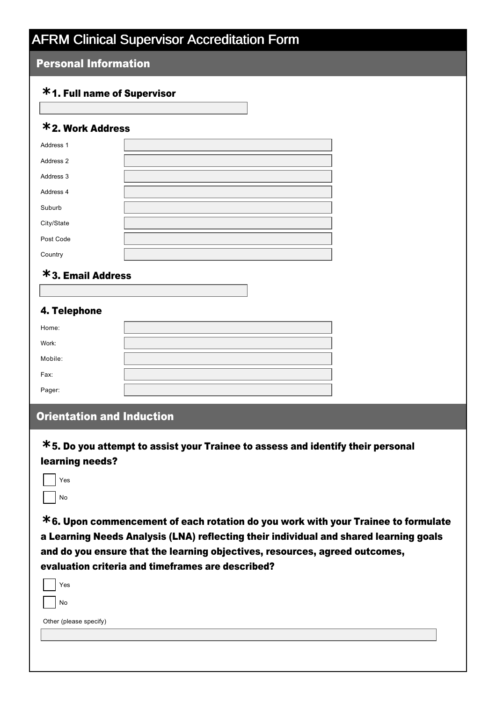#### Personal Information

## 1. Full name of Supervisor **\***

## 2. Work Address **\***

| Address 1  |  |
|------------|--|
| Address 2  |  |
| Address 3  |  |
| Address 4  |  |
| Suburb     |  |
| City/State |  |
| Post Code  |  |
| Country    |  |

## 3. Email Address **\***

#### 4. Telephone

| Home:   |  |
|---------|--|
| Work:   |  |
| Mobile: |  |
| Fax:    |  |
| Pager:  |  |

### Orientation and Induction

5. Do you attempt to assist your Trainee to assess and identify their personal **\*** learning needs?

| Yes |
|-----|
| No  |

6. Upon commencement of each rotation do you work with your Trainee to formulate **\*** a Learning Needs Analysis (LNA) reflecting their individual and shared learning goals and do you ensure that the learning objectives, resources, agreed outcomes, evaluation criteria and timeframes are described?

| N <sub>o</sub><br>Other (please specify) | Yes |  |
|------------------------------------------|-----|--|
|                                          |     |  |
|                                          |     |  |
|                                          |     |  |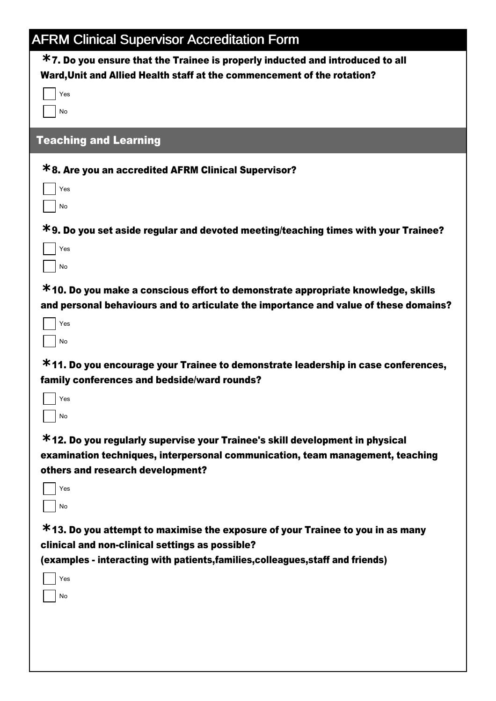| <b>AFRM Clinical Supervisor Accreditation Form</b>                                   |
|--------------------------------------------------------------------------------------|
| $*$ 7. Do you ensure that the Trainee is properly inducted and introduced to all     |
| Ward, Unit and Allied Health staff at the commencement of the rotation?              |
| Yes                                                                                  |
| No                                                                                   |
| <b>Teaching and Learning</b>                                                         |
| <b>*8. Are you an accredited AFRM Clinical Supervisor?</b>                           |
| Yes                                                                                  |
| No                                                                                   |
| *9. Do you set aside regular and devoted meeting/teaching times with your Trainee?   |
| Yes                                                                                  |
| No                                                                                   |
| $*$ 10. Do you make a conscious effort to demonstrate appropriate knowledge, skills  |
| and personal behaviours and to articulate the importance and value of these domains? |
| Yes                                                                                  |
| No                                                                                   |
| *11. Do you encourage your Trainee to demonstrate leadership in case conferences,    |
| family conferences and bedside/ward rounds?                                          |
| Yes                                                                                  |
| No                                                                                   |
| *12. Do you regularly supervise your Trainee's skill development in physical         |
| examination techniques, interpersonal communication, team management, teaching       |
| others and research development?                                                     |
| Yes                                                                                  |
| No                                                                                   |
| *13. Do you attempt to maximise the exposure of your Trainee to you in as many       |
| clinical and non-clinical settings as possible?                                      |
| (examples - interacting with patients, families, colleagues, staff and friends)      |
| Yes                                                                                  |
| No                                                                                   |
|                                                                                      |
|                                                                                      |
|                                                                                      |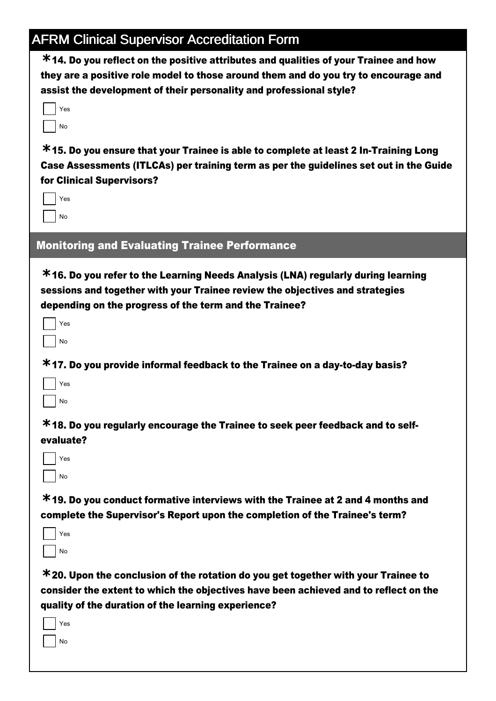14. Do you reflect on the positive attributes and qualities of your Trainee and how **\*** they are a positive role model to those around them and do you try to encourage and assist the development of their personality and professional style?

| 'es      |
|----------|
| $\Omega$ |

**\*15. Do you ensure that your Trainee is able to complete at least 2 In-Training Long** Case Assessments (ITLCAs) per training term as per the guidelines set out in the Guide for Clinical Supervisors?

| ⁄es |
|-----|
| No  |

### Monitoring and Evaluating Trainee Performance

16. Do you refer to the Learning Needs Analysis (LNA) regularly during learning **\*** sessions and together with your Trainee review the objectives and strategies depending on the progress of the term and the Trainee?

| Yes     |
|---------|
| lo<br>Ń |

**\*17. Do you provide informal feedback to the Trainee on a day-to-day basis?** 

| 'es |
|-----|
| N٥  |

18. Do you regularly encourage the Trainee to seek peer feedback and to self-**\*** evaluate?

| es |
|----|
| Ó  |

19. Do you conduct formative interviews with the Trainee at 2 and 4 months and **\*** complete the Supervisor's Report upon the completion of the Trainee's term?

| ⁄es |
|-----|
| ö   |

20. Upon the conclusion of the rotation do you get together with your Trainee to **\*** consider the extent to which the objectives have been achieved and to reflect on the quality of the duration of the learning experience?

| es |
|----|
| Ó  |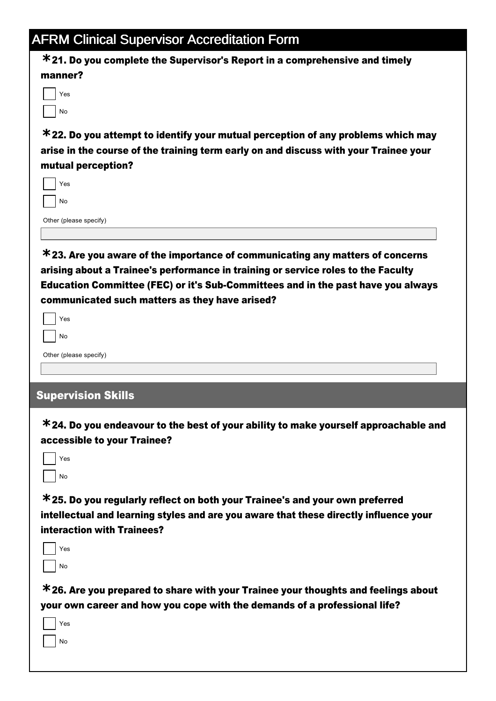21. Do you complete the Supervisor's Report in a comprehensive and timely **\*** manner?

| 'es |
|-----|
| No  |

22. Do you attempt to identify your mutual perception of any problems which may **\*** arise in the course of the training term early on and discuss with your Trainee your mutual perception?

| ⁄es |
|-----|
| No  |
|     |

Other (please specify)

23. Are you aware of the importance of communicating any matters of concerns **\*** arising about a Trainee's performance in training or service roles to the Faculty Education Committee (FEC) or it's Sub-Committees and in the past have you always communicated such matters as they have arised?

| Yes |
|-----|
| N٥  |

Other (please specify)

## Supervision Skills

24. Do you endeavour to the best of your ability to make yourself approachable and **\*** accessible to your Trainee?

| ٩s |
|----|
| b  |

25. Do you regularly reflect on both your Trainee's and your own preferred **\*** intellectual and learning styles and are you aware that these directly influence your interaction with Trainees?

| es |
|----|
| o  |

26. Are you prepared to share with your Trainee your thoughts and feelings about **\*** your own career and how you cope with the demands of a professional life?

| es |
|----|
| ö  |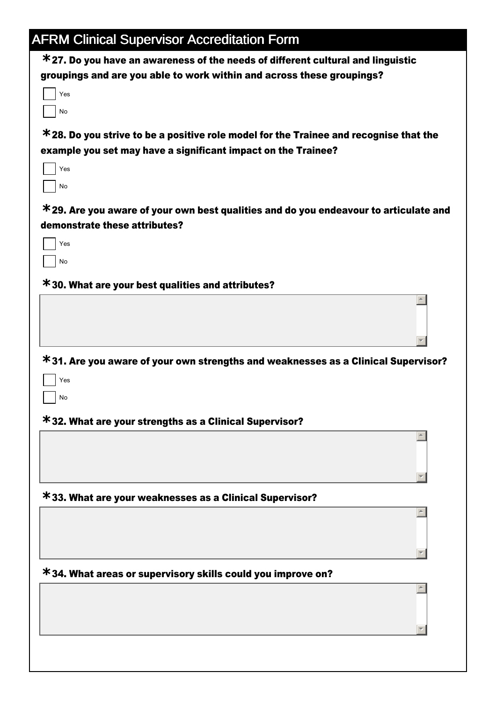| <b>AFRM Clinical Supervisor Accreditation Form</b>                                       |  |
|------------------------------------------------------------------------------------------|--|
| $*$ 27. Do you have an awareness of the needs of different cultural and linguistic       |  |
| groupings and are you able to work within and across these groupings?                    |  |
| Yes                                                                                      |  |
| No                                                                                       |  |
| $*$ 28. Do you strive to be a positive role model for the Trainee and recognise that the |  |
| example you set may have a significant impact on the Trainee?                            |  |
| Yes                                                                                      |  |
| No                                                                                       |  |
| $*$ 29. Are you aware of your own best qualities and do you endeavour to articulate and  |  |
| demonstrate these attributes?                                                            |  |
| Yes                                                                                      |  |
| No                                                                                       |  |
| <b>*30. What are your best qualities and attributes?</b>                                 |  |
|                                                                                          |  |
|                                                                                          |  |
|                                                                                          |  |
| *31. Are you aware of your own strengths and weaknesses as a Clinical Supervisor?        |  |
| Yes                                                                                      |  |
| No                                                                                       |  |
| *32. What are your strengths as a Clinical Supervisor?                                   |  |
|                                                                                          |  |
|                                                                                          |  |
|                                                                                          |  |
| <b>*33. What are your weaknesses as a Clinical Supervisor?</b>                           |  |
|                                                                                          |  |
|                                                                                          |  |
|                                                                                          |  |
|                                                                                          |  |
| *34. What areas or supervisory skills could you improve on?                              |  |
|                                                                                          |  |
|                                                                                          |  |
|                                                                                          |  |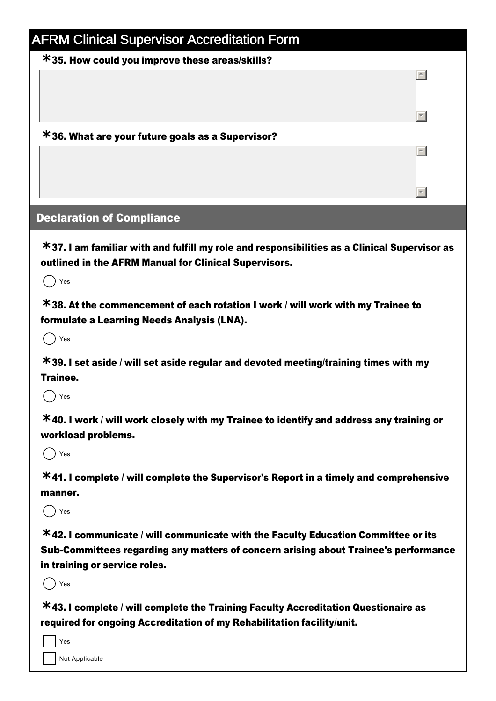35. How could you improve these areas/skills? **\***

## 36. What are your future goals as a Supervisor? **\***

### Declaration of Compliance

37. I am familiar with and fulfill my role and responsibilities as a Clinical Supervisor as **\*** outlined in the AFRM Manual for Clinical Supervisors.

 $\overline{\phantom{a}}$ 

 $\overline{\phantom{a}}$ 

 $\blacktriangle$ 

 $\overline{\phantom{a}}$ 

 $()$  Yes

38. At the commencement of each rotation I work / will work with my Trainee to **\*** formulate a Learning Needs Analysis (LNA).

 $($   $)$  Yes

39. I set aside / will set aside regular and devoted meeting/training times with my **\*** Trainee.

 $()$  Yes

40. I work / will work closely with my Trainee to identify and address any training or **\*** workload problems.

 $()$  Yes

41. I complete / will complete the Supervisor's Report in a timely and comprehensive **\*** manner.

 $($   $)$  Yes

42. I communicate / will communicate with the Faculty Education Committee or its **\*** Sub-Committees regarding any matters of concern arising about Trainee's performance in training or service roles.

 $()$  Yes

43. I complete / will complete the Training Faculty Accreditation Questionaire as **\*** required for ongoing Accreditation of my Rehabilitation facility/unit.

Yes

Not Applicable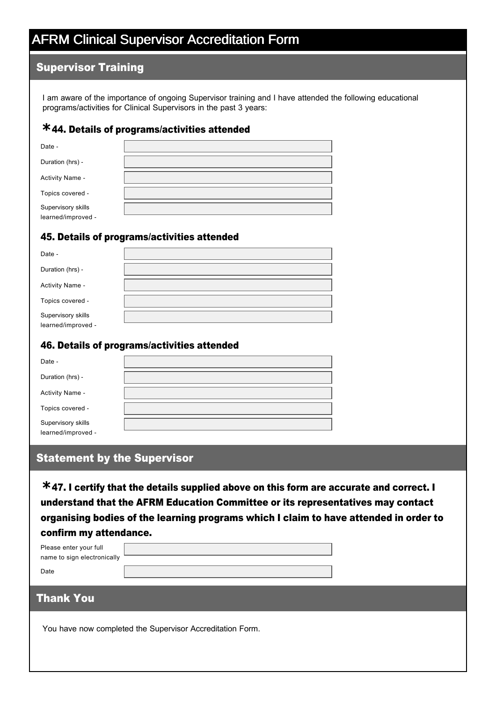#### Supervisor Training

I am aware of the importance of ongoing Supervisor training and I have attended the following educational programs/activities for Clinical Supervisors in the past 3 years:

## 44. Details of programs/activities attended **\***

| Date -             |  |
|--------------------|--|
| Duration (hrs) -   |  |
| Activity Name -    |  |
| Topics covered -   |  |
| Supervisory skills |  |
| learned/improved - |  |

#### 45. Details of programs/activities attended

| Date -                                   |  |
|------------------------------------------|--|
| Duration (hrs) -                         |  |
| Activity Name -                          |  |
| Topics covered -                         |  |
| Supervisory skills<br>learned/improved - |  |

#### 46. Details of programs/activities attended

| Date -                                   |  |
|------------------------------------------|--|
| Duration (hrs) -                         |  |
| Activity Name -                          |  |
| Topics covered -                         |  |
| Supervisory skills<br>learned/improved - |  |

#### Statement by the Supervisor

47. I certify that the details supplied above on this form are accurate and correct. I **\*** understand that the AFRM Education Committee or its representatives may contact organising bodies of the learning programs which I claim to have attended in order to confirm my attendance.

| Please enter your full      |  |
|-----------------------------|--|
| name to sign electronically |  |
| Date                        |  |

### Thank You

You have now completed the Supervisor Accreditation Form.